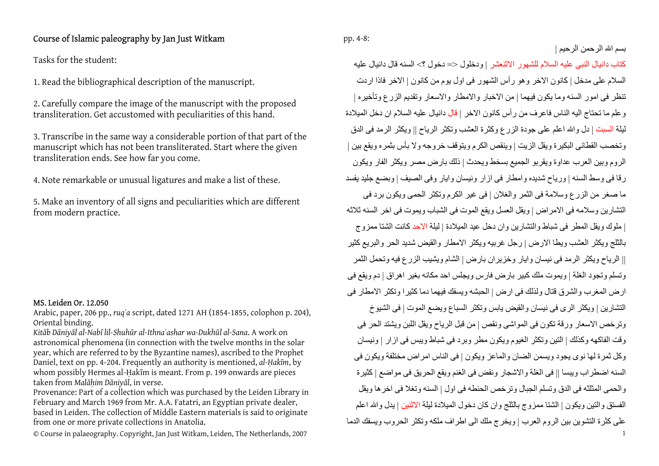## Course of Islamic paleography by Jan Just Witkam

Tasks for the student:

1. Read the bibliographical description of the manuscript.

2. Carefully compare the image of the manuscript with the proposed transliteration. Get accustomed with peculiarities of this hand.

3. Transcribe in the same way a considerable portion of that part of the manuscript which has not been transliterated. Start where the given transliteration ends. See how far you come.

4. Note remarkable or unusual ligatures and make a list of these.

5. Make an inventory of all signs and peculiarities which are different from modern practice.

## MS. Leiden Or. 12.050

Arabic, paper, 206 pp., *ruq<sup>ʿ</sup>a* script, dated 1271 AH (1854-1855, colophon p. 204), Oriental binding.

*Kitāb Dāniyāl al-Nabī lil-Shuhūr al-Ithnaʿashar wa-Dukhūl al-Sana*. A work on astronomical phenomena (in connection with the twelve months in the solar year, which are referred to by the Byzantine names), ascribed to the Prophet Daniel, text on pp. 4-204. Frequently an authority is mentioned, *al-Ḥakīm*, by whom possibly Hermes al-Ḥakīm is meant. From p. 199 onwards are pieces taken from *Malāḥim Dāniyāl*, in verse.

Provenance: Part of a collection which was purchased by the Leiden Library in February and March 1969 from Mr. A.A. Fatatri, an Egyptian private dealer, based in Leiden. The collection of Middle Eastern materials is said to originate from one or more private collections in Anatolia.

© Course in palaeography. Copyright, Jan Just Witkam, Leiden, The Netherlands, 2007 <sup>1</sup>

pp. 4-8:

آتاب دانيال النبى عليه السلام للشهور الاثنعشر | ودخلول <= دخول ؟> السنه قال دانيال عليه السلام على مدخل | كانون الاخر و هو ر أس الشهور في اول يو م من كانون | الاخر فاذا ار دت تنظر فى امور السنه وما يكون فيهما | من الاخبار والامطار والاسعار وتقديم الزرع وتأخيره | وعلم ما تحتاج اليه الناس فاعرف من رأس كانون الاخر | قال دانيال عليه السلام ان دخل الميلادة ليلة السبت | دل والله اعلم على جودة الزرع وكثرة العشب وتكثر الرياح || ويكثر الرمد فى الدق وتخصب القطانى البكيرة ويقل الزيت | وينقص الكرم ويتوقف خروجه ولا بأس بثمره ويقع بين | الروم وبين العرب عداوة ويقربو الجميع بسخط ويحدث | ذلك بارض مصر ويكثر الفار ويكون رقا فى وسط السنه | ورياح شديده وامطار فى ازار ونيسان وايار وفى الصيف | وبضع جليد يفسد ما صغر من الزرع وسلامة فى الثمر والغلان | فى غير الكرم وتكثر الحمى ويكون برد فى التشارين وسلامه فى الامراض | ويقل العسل ويقع الموت فى الشباب ويموت فى اخر السنه ثلاثه | ملوك ويقل المطر فى شباط والتشارين وان دخل عيد الميلادة | ليلة الاحد كانت الشتا ممزوج بالثلج ويكثر العشب ويطا الارض | رجل غربيه ويكثر الامطار والقيض شديد الحر والبريع آثير || الرياح ويكثر الرمد فى نيسان وايار وخزيران بارض | الشام ويشيب الزرع فيه وتحمل الثمر وتسلم وتجود الغلة | ويموت ملك كبير بارض فارس ويجلس احد مكانه بغير اهراق | دم ويقع فى ار ض المغرب والشرق قتال ولذلك فى ارض | الحبشه ويسفك فيهما دما كثير ا وتكثر الامطار فى التشارين | ويكثر الرى فى نيسان والقيض يابس وتكثر السباع ويضع الموت | فى الشيوخ وترخص الاسعار ورقة تكون فى المواشى ونقص | من قبل الرياح ويقل اللبن ويشتد الحر فى وقت الفاكهه وكذلك | التين وتكثر الغيوم ويكون مطر وبرد فى شباط ويبس فى ازار | ونيسان وآل ثمرة لها نوى يجود ويسمن الضان والماعز ويكون | فى الناس امراض مختلفة ويكون فى السنه اضطراب ويبسا || فى الغلة والاشجار ونقض فى الغنم ويقع الحريق فى مواضع | آثيرة والحمى المثلثه فى الدق وتسلم الجبال وترخص الحنطه فى اول | السنه وتغلا فى اخرها ويقل الفستق والنتين ويكون | الشتا ممزوج بالثلج وان كان دخول الميلادة ليلة الاثنين | يدل والله اعلم على آثرة التشوين بين الروم العرب | ويخرج ملك الى اطراف ملكه وتكثر الحروب ويسفك الدما

بسم االله الرحمن الرحيم |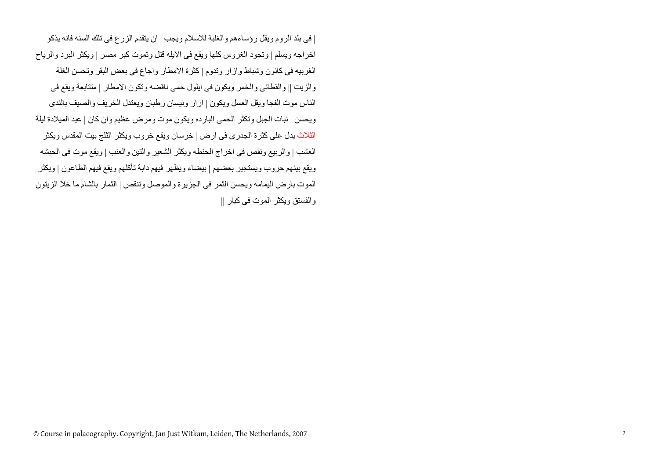| فى بلد الروم ويقل رؤساءهم والغلبة للاسلام ويجب | ان يتقدم الزرع فى تلك السنه فانه يذآو اخراجه ويسلم | وتجود الغروس كلها ويقع فى الايله قتل وتموت كبر مصر | ويكثر البرد والرياح الغربيه فى كانون وشباط وازار وتدوم | كثرة الامطار واجاع فى بعض البقر وتحسن الغلة والزيت || والقطانى والخمر ويكون فى ايلول حمى ناقضه وتكون الامطار | متتابعة ويقع فى الناس موت الفجا ويقل العسل ويكون | ازار ونيسان رطبان ويعتدل الخريف والصيف بالندى ويحسن | نبات الجبل وتكثر الحمى البارده ويكون موت ومرض عظيم وان كان | عيد الميلادة ليلة الثلاث يدل على كثرة الجدرى فى ارض | خرسان ويقع خروب ويكثر الثلج بيت المقدس ويكثر العشب | والربيع ونقص فى اخراج الحنطه ويكثر الشعير والتين والعنب | ويقع موت فى الحبشه ويقع بينهم حروب ويستجير بعضهم | بيضاء ويظهر فيهم دابة تأآلهم ويقع فيهم الطاعون | ويكثر الموت بارض اليمامه ويحسن الثمر فى الجزيرة والموصل وتنقص | الثمار بالشام ما خلا الزيتون والفستق ويكثر الموت فى كبار ||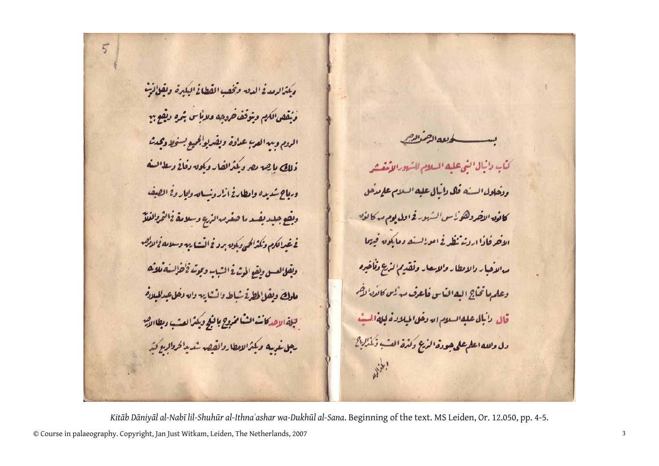مكثرا لرمدنج الدق وتخفيب القطاغ البكيرة، وتقلُّانيتْ وَيُقْصِ الكِمِ وِيَوَقَفَ حَروهِ وَلَانَاسٍ بِمَرْهِ وَلَقِعٍ بِهِ الروم ومه العرب عداوة ويفربولجيع بسخط وتحدثت ذلك باجه بع دينرانفار ديكون دفانے ديلانيف وماح شديده وامطلاقا ذاروسامه والماروخ المصف ديقع جلديفىدما صغرم الزره وسلامة ذائتمطانعتش في غيرالكام وتكثرالحن وبكونه برد في النشا يهه وسلامه فخالالهم ديقل لعسق ولقع المرثرة الشبب وموتر فخطؤلسف تلاثعا ملوك ويفل لمطرة شباط دانشتاييه وان دخل عبدالمبلادة بجلة الاهدكانت الشامخروج بالبكج ويكثرا لعشب دبطاالذس رجل غربيه وبكثرالامطاروالقصر شديدا فروالهع كثر

 $5$ 

للمستسلط للملاهيل كثاب دائيال النى عليه انسلام للشرورالأنفيشر ودخلول السبنه قال دائيال عليه السلام علم مدحل كانون النضروهو لأس الشهور فحاول يوم مدكانون الأخرقاذا اردنه ثظرفے امدلائے دمایکوں فیہما مدالاُحبار دالانطار والاِحار وتقدِم الزَّيع وْلْمَاحْدِهِ وعلمها تخاج البه المناس فاعرف مدئين كالأن لمضم قال الأبال عليه السلام الله وفل الميلادة ليله السيث دل والله اعلم على حودة الرَّعِ وكثرة العُبْ وَنَذْلِكَ }

© Course in palaeography. Copyright, Jan Just Witkam, Leiden, The Netherlands, 2007 <sup>3</sup> Kitāb Dāniyāl al-Nabī lil-Shuhūr al-Ithnaʿashar wa-Dukhūl al-Sana. Beginning of the text. MS Leiden, Or. 12.050, pp. 4-5.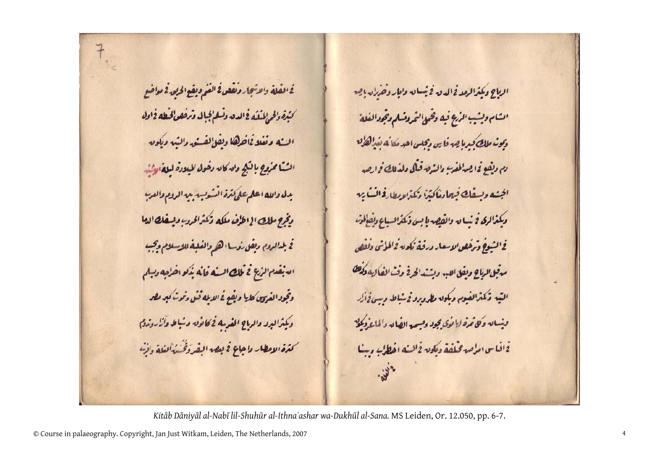فخلفلة والاثجار وتقفمانخ الغم ويقع الحراق فم مواضع كنيرة دالحرإلمىتيك فخلاق وتسلم بجبال وترفقون لخيطه فخلاله البثه مقلاةاخرها ولفخالفيتي دالثيه وداويه انثية مخروج بالثلج والسكاله دخول الميلادة لبلغة لطشن بدل والله اعلم على تترة السكوب من الروم والعرب دِنْوَج ملك الإاطرُف ملكه ذَكنَرَاوُدِبِ وبِسِفك الدا <sup>2</sup> بل الروم ديفل رُوسا <sub>ا</sub> هر والفلي**ف للاسلام ويجب** التيفيع المنظ فالتك المسفه فالله يذكو اخزاجه ديبلم وتجود الفروق كليا وبقع فح الابله قنى دنوت كبر مصر وكميثرالبرو دالرباح الفرسه فحكائوق وشاط وآزاروزدم كترة الامطار داجاع في بعد الفردَقْسَةُ الغلة دائِسَ

الراح وكمنزالرمد فمالدق فخيصاق وابار وخذله باجع الشام ولشيب المأج فيك وقحبى الثمروشلم وجحودالفلة دیونہ ملک کردا ہے۔ فاس دیجلس احد مکانے نیڈالگ<sup>ا</sup>ق دم دیفوندا چهالمفر<sup>ب</sup> دانسهٔ ترقیهی دندلل*ی ف*را چه الجنده ويبفك فيعادناكثرا ذكنه لايطاره المساير وكمغالرى فخيصان والقصريا بسى فكثرانسياع ونفالوه فخ الشيوخ وترخص لاسعار ورقبة ككونه فخالطوش ولفص مدقق الرباح ويقل اللبد وبشند الحرفج وقث الفاكيه وكمنك التبه ذكترالفيوم وبكون مطرورو فيشباط وسن فجأل وشيائه وكاتمره لأنوى يجود وليبحد الضائه والملتف يكلح 2افياس امراصة مخلفة ومكونة فالشفه افطالب دستا

*Kitāb Dāniyāl al-Nabī lil-Shuhūr al-Ithnaʿashar wa-Dukhūl al-Sana.* MS Leiden, Or. 12.050, pp. 6-7.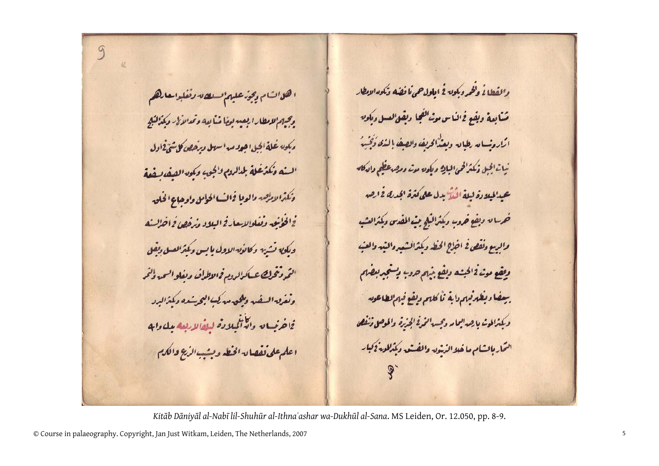ا هات م دِیجز علیم است د دنفلواحل هم وحيهم لامطار اربعيه يعضا ضايعه وتمدالألا ويكذلنبج دیکیں غلة الحیل اجووب اسول ویرخص کا شیّ فاول السنه وكترغلة بلالروم ولجيب وكموه الفيف لفية وكثرا لادلصه والوقا فحالت الحوامل واوحاي الخلق فخالخانيق وتفلوالاحارق اليلاد وترفص فراخالسته وىكى نشرس وكالأنه الاول بابس وكمترالعسل ديفل الثمروتحرك عساكرالروم فحللالحف ويفلوالسمه ولثمر وثغرق السفير والمحق مدكمت البحرشده ديكتزاليرد فاخرب والأأكملاده ليضلابعه بل دابه اعلم على نفقان الخطر ونبب المرَيح والكرم

والقطاغ ولخروبكون فخ ايلول حمى لمافضه وكمود الابطار مُسَابِعةِ ويقِعٍ فِهِ لَنَاسٍ مِنْ الفِجَا دِيقِيٌ لِعَسَلٍ وِيكُونِهِ ارًا روسام رطباق وبعدُ الحريف والصيف إلىذى وَقِيبَ نيات الجبل وكمترافحن البايع وبكون معت ومصرعظم واندكانه عبدالميلادة ليلة النَّذُ بدل على كثرة الجد*نك في ا*حِس خرىان ديفع خرور دكتراليكج ميث المفدى وكمثرالعشب والرسع دنقص فح اخزاج الخطر وبكثرالمشعيره الثير والعنب وفقع موثرة الحبشه وبقع بهم حروب وشجربعضهم سيفضا ويفلرقهم دابة ثأكلهم ويقع قيلمالطاعون وبكثرالموت بارهداليما مردحسها المرفخ الجريرة والموصى فنفص التماربانشام ماخلاالرشط والفنف وكمكالمعة لكيار

*Kitāb Dāniyāl al-Nabī lil-Shuhūr al-Ithnaʿashar wa-Dukhūl al-Sana*. MS Leiden, Or. 12.050, pp. 8-9.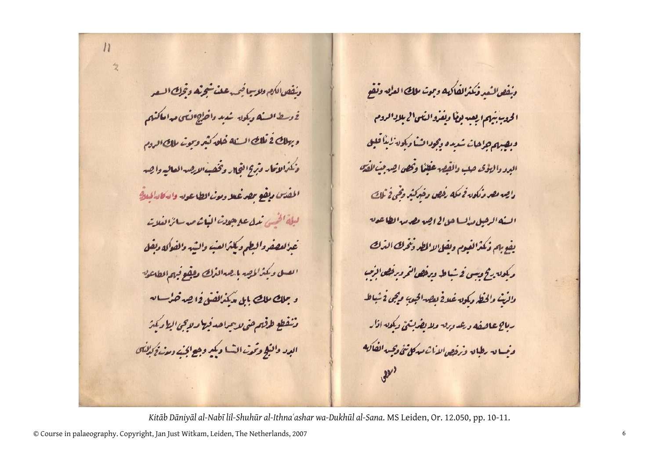دنفص الكمع دلاسا فيمدعلت شجرته وتجك السعر فأوسط المستكه ويكماه شديد واخلصطافتان مداملكتهم وبطك فخفك المسنله فله كثر ويحت طك الروم ذكترالاتمار وتركا اقحال وتخفيفالايصرالعاليه واجسر المفتن مطع معرفعا ومن الطاعون والأكادالملائي لبلة الخيبى تمك علاجون البائم مدرانزا لغلاته عزامعفروالبطم ويكثرالعب والشبه والمفوكه دبقل العسل وبكثرالمصر بارصرالنمك وليقع فيهم المطاعون و مِلك ملك بل « كمُذائفنى لِمَا هِدْ حُرُّ بِ لِهِ ونفطع ولمقصص لايمراحه فيط ولاحي الطاركيز البرد والبكج وتحدث النسا وبكبر وهيج الخيث ومدنج كذلنان

دنفصالنعد فكترالفاكه وبحت طك العاق وتفو الحديثيهم ايعبه بفا ديفروالقى الإبلادادوم ويصبع جزاجان شدره وجودات ديكوه زيئا فليل البرد دا للؤى حلب والقصر عفلمًا وكمص احد مِبْ الْمُصَ دایس مصر دنکوں نے مکھ رفھی دخپرکٹر وقنی نے آلماہے السنة الرضل مدلينا حل الخراجية مطرمية المطاعون بفع بم ذكترًا لفيوم وبقل لاالمطر ذخرك الترك ریکوں رکج وسی فے شیاط ویرفصی ہو درخص افرم واذيث والخيط مكون غلافخ لعصر الجعص ويجن فخباطد رباح علمفه دعدددق دلايفرنتي وكمصه اذار وصاق رولياق وترفيص لاأث مذكل تئ ويجيبه المفاليه

*Kitāb Dāniyāl al-Nabī lil-Shuhūr al-Ithnaʿashar wa-Dukhūl al-Sana*. MS Leiden, Or. 12.050, pp. 10-11.

© Course in palaeography. Copyright, Jan Just Witkam, Leiden, The Netherlands, 2007 <sup>6</sup>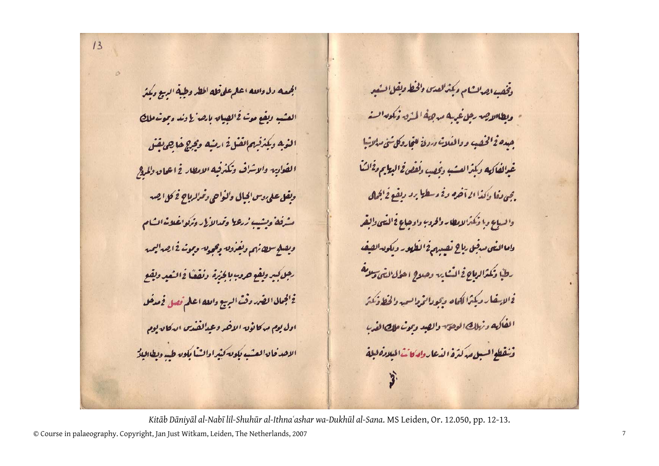$13$ 

الجمعه دل والله اعلم على فله المطر وظية الربيع وكمتر العشب ديقع مع<sup>ث</sup> فخالصيان بارصا لأدند دموشاملك الذيه ديكذفهمالفل فارضه وتوج خالص يقنى الفزايه والاشراف وكترفيه الامطار فجاعان وللراج ويفل على دس الجبال والمواحي دقرارياح فخ كل الصد شدفه وبشيب زرعط وتمدالألئ وتركواغلانمات م ديفنج منطانهم ونفرون وجحدق وبوشافخا يمداليميه رجل كبر ولفع حروب بالخنرة وتفقا فخالتعد ولفع فخالجمالى الضرروقث البربيع والله اعلم تصل فحصف ادل یع مدکانون الاخر دعدالفندس ارکان یوم الاحد فان انعشبه بكون كثيرا والشبا يكون طيبه ويطالبك

وُفِقِيدِ اهِدَانِ مِ دِينَرُالِعِدَى وَالْحَظِ وَلِقَلِ السَّفِيرِ - مطالاتِه، رهِ غريه مدهِهُ المُدُو وُكُمُهِ السَّ جده فخلخصب ووالفلات دردف عتجاروكل ثئ مدلاثيا غيرالفاكيه دكترا لعشب دفقب دلفص فحاليتاج دفالشا . بي دفا دانذا از آخره دنم دسطيل برد دهنده نمايی 0. والسباع وانكثمالانطار والحروب واوجاع فخالفى والقر دامه النبى مدفق راح نفسيهم فخ المطهور ومكون الفيف رظبًا وكمترا لمطاحٍ في المُشارِدِ وحلاحٍ ا حؤل النَّتى وَلاَ هَ فخالا غار ديكما لكماه وبحول لممطالعيه والخطاف كمتز الفلكه ونطلك الوهق والصد وتون طلصا لفرء وتفطوا لسيل مدكثرة الدعارواركانث الميلاده لبلة

*Kitāb Dāniyāl al-Nabī lil-Shuhūr al-Ithnaʿashar wa-Dukhūl al-Sana*. MS Leiden, Or. 12.050, pp. 12-13.

© Course in palaeography. Copyright, Jan Just Witkam, Leiden, The Netherlands, 2007 <sup>7</sup>